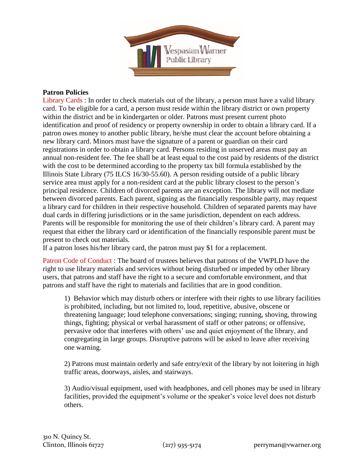

## **Patron Policies**

Library Cards : In order to check materials out of the library, a person must have a valid library card. To be eligible for a card, a person must reside within the library district or own property within the district and be in kindergarten or older. Patrons must present current photo identification and proof of residency or property ownership in order to obtain a library card. If a patron owes money to another public library, he/she must clear the account before obtaining a new library card. Minors must have the signature of a parent or guardian on their card registrations in order to obtain a library card. Persons residing in unserved areas must pay an annual non-resident fee. The fee shall be at least equal to the cost paid by residents of the district with the cost to be determined according to the property tax bill formula established by the Illinois State Library (75 ILCS 16/30-55.60). A person residing outside of a public library service area must apply for a non-resident card at the public library closest to the person's principal residence. Children of divorced parents are an exception. The library will not mediate between divorced parents. Each parent, signing as the financially responsible party, may request a library card for children in their respective household. Children of separated parents may have dual cards in differing jurisdictions or in the same jurisdiction, dependent on each address. Parents will be responsible for monitoring the use of their children's library card. A parent may request that either the library card or identification of the financially responsible parent must be present to check out materials.

If a patron loses his/her library card, the patron must pay \$1 for a replacement.

Patron Code of Conduct : The board of trustees believes that patrons of the VWPLD have the right to use library materials and services without being disturbed or impeded by other library users, that patrons and staff have the right to a secure and comfortable environment, and that patrons and staff have the right to materials and facilities that are in good condition.

1) Behavior which may disturb others or interfere with their rights to use library facilities is prohibited, including, but not limited to, loud, repetitive, abusive, obscene or threatening language; loud telephone conversations; singing; running, shoving, throwing things, fighting; physical or verbal harassment of staff or other patrons; or offensive, pervasive odor that interferes with others' use and quiet enjoyment of the library, and congregating in large groups. Disruptive patrons will be asked to leave after receiving one warning.

2) Patrons must maintain orderly and safe entry/exit of the library by not loitering in high traffic areas, doorways, aisles, and stairways.

3) Audio/visual equipment, used with headphones, and cell phones may be used in library facilities, provided the equipment's volume or the speaker's voice level does not disturb others.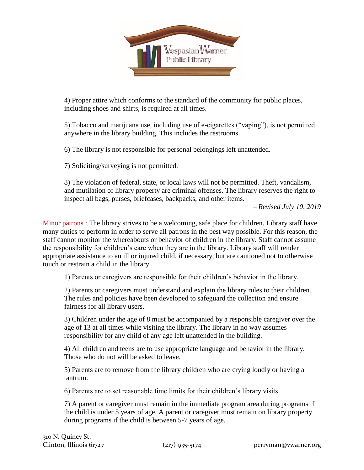

4) Proper attire which conforms to the standard of the community for public places, including shoes and shirts, is required at all times.

5) Tobacco and marijuana use, including use of e-cigarettes ("vaping"), is not permitted anywhere in the library building. This includes the restrooms.

6) The library is not responsible for personal belongings left unattended.

7) Soliciting/surveying is not permitted.

8) The violation of federal, state, or local laws will not be permitted. Theft, vandalism, and mutilation of library property are criminal offenses. The library reserves the right to inspect all bags, purses, briefcases, backpacks, and other items.

– *Revised July 10, 2019*

Minor patrons : The library strives to be a welcoming, safe place for children. Library staff have many duties to perform in order to serve all patrons in the best way possible. For this reason, the staff cannot monitor the whereabouts or behavior of children in the library. Staff cannot assume the responsibility for children's care when they are in the library. Library staff will render appropriate assistance to an ill or injured child, if necessary, but are cautioned not to otherwise touch or restrain a child in the library.

1) Parents or caregivers are responsible for their children's behavior in the library.

2) Parents or caregivers must understand and explain the library rules to their children. The rules and policies have been developed to safeguard the collection and ensure fairness for all library users.

3) Children under the age of 8 must be accompanied by a responsible caregiver over the age of 13 at all times while visiting the library. The library in no way assumes responsibility for any child of any age left unattended in the building.

4) All children and teens are to use appropriate language and behavior in the library. Those who do not will be asked to leave.

5) Parents are to remove from the library children who are crying loudly or having a tantrum.

6) Parents are to set reasonable time limits for their children's library visits.

7) A parent or caregiver must remain in the immediate program area during programs if the child is under 5 years of age. A parent or caregiver must remain on library property during programs if the child is between 5-7 years of age.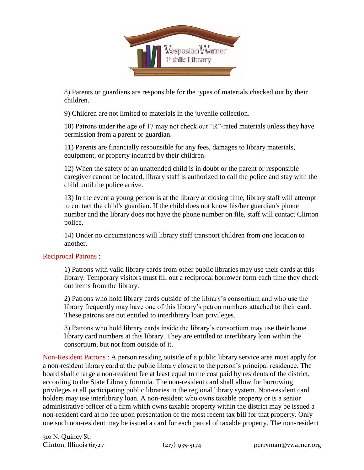

8) Parents or guardians are responsible for the types of materials checked out by their children.

9) Children are not limited to materials in the juvenile collection.

10) Patrons under the age of 17 may not check out "R"-rated materials unless they have permission from a parent or guardian.

11) Parents are financially responsible for any fees, damages to library materials, equipment, or property incurred by their children.

12) When the safety of an unattended child is in doubt or the parent or responsible caregiver cannot be located, library staff is authorized to call the police and stay with the child until the police arrive.

13) In the event a young person is at the library at closing time, library staff will attempt to contact the child's guardian. If the child does not know his/her guardian's phone number and the library does not have the phone number on file, staff will contact Clinton police.

14) Under no circumstances will library staff transport children from one location to another.

## Reciprocal Patrons :

1) Patrons with valid library cards from other public libraries may use their cards at this library. Temporary visitors must fill out a reciprocal borrower form each time they check out items from the library.

2) Patrons who hold library cards outside of the library's consortium and who use the library frequently may have one of this library's patron numbers attached to their card. These patrons are not entitled to interlibrary loan privileges.

3) Patrons who hold library cards inside the library's consortium may use their home library card numbers at this library. They are entitled to interlibrary loan within the consortium, but not from outside of it.

Non-Resident Patrons : A person residing outside of a public library service area must apply for a non-resident library card at the public library closest to the person's principal residence. The board shall charge a non-resident fee at least equal to the cost paid by residents of the district, according to the State Library formula. The non-resident card shall allow for borrowing privileges at all participating public libraries in the regional library system. Non-resident card holders may use interlibrary loan. A non-resident who owns taxable property or is a senior administrative officer of a firm which owns taxable property within the district may be issued a non-resident card at no fee upon presentation of the most recent tax bill for that property. Only one such non-resident may be issued a card for each parcel of taxable property. The non-resident